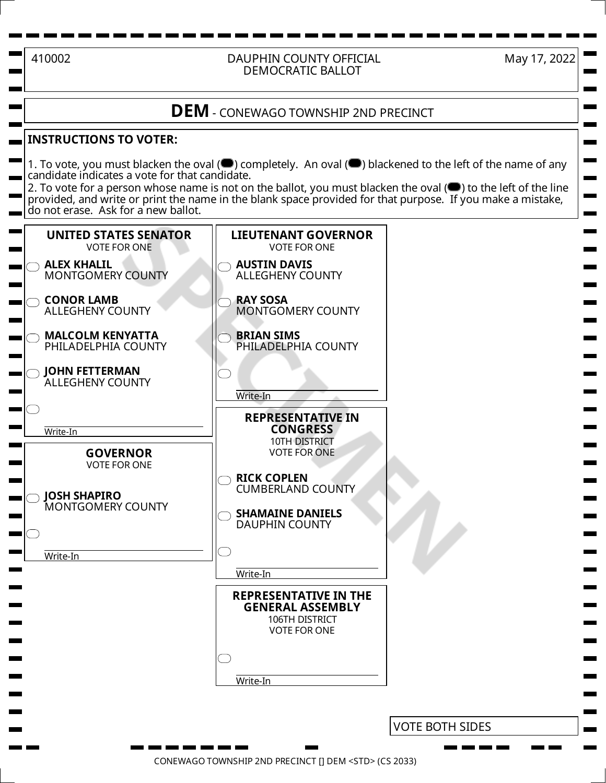## 410002 DAUPHIN COUNTY OFFICIAL DEMOCRATIC BALLOT

May 17, 2022

## **DEM** - CONEWAGO TOWNSHIP 2ND PRECINCT **INSTRUCTIONS TO VOTER:** 1. To vote, you must blacken the oval (**••**) completely. An oval (••) blackened to the left of the name of any candidate indicates a vote for that candidate. 2. To vote for a person whose name is not on the ballot, you must blacken the oval  $($ **)** to the left of the line provided, and write or print the name in the blank space provided for that purpose. If you make a mistake, do not erase. Ask for a new ballot. **UNITED STATES SENATOR** VOTE FOR ONE **ALEX KHALIL** MONTGOMERY COUNTY **CONOR LAMB** ALLEGHENY COUNTY **MALCOLM KENYATTA** PHILADELPHIA COUNTY **JOHN FETTERMAN** ALLEGHENY COUNTY Write-In **GOVERNOR** VOTE FOR ONE **JOSH SHAPIRO** MONTGOMERY COUNTY Write-In **LIEUTENANT GOVERNOR** VOTE FOR ONE **AUSTIN DAVIS** ALLEGHENY COUNTY **RAY SOSA** MONTGOMERY COUNTY **BRIAN SIMS** PHILADELPHIA COUNTY Write-In **REPRESENTATIVE IN CONGRESS** 10TH DISTRICT VOTE FOR ONE **RICK COPLEN** CUMBERLAND COUNTY **SHAMAINE DANIELS** DAUPHIN COUNTY Write-In **REPRESENTATIVE IN THE GENERAL ASSEMBLY** 106TH DISTRICT VOTE FOR ONE Write-In

VOTE BOTH SIDES